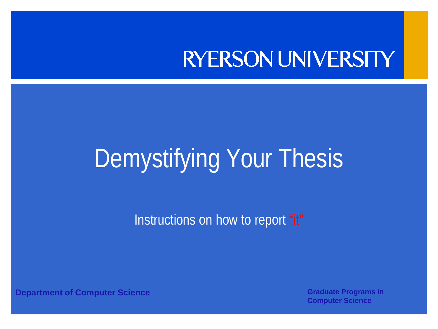#### **RYERSON UNIVERSITY**

#### Demystifying Your Thesis

Instructions on how to report "it"

**Department of Computer Science <b>Graduate Programs in Architect** Computer Science **Graduate Programs in** 

**Computer Science**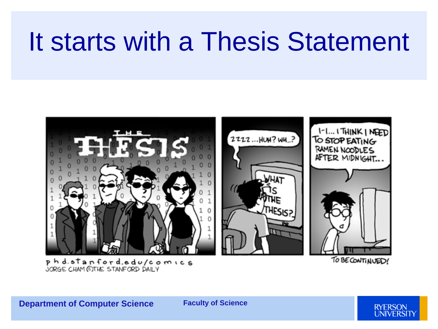#### It starts with a Thesis Statement



phd.stanford.edu/comics JORGE CHAM CITHE STANFORD DAILY

TO BE CONTINUED!

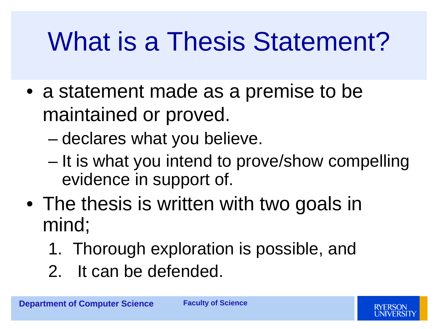## What is a Thesis Statement?

- a statement made as a premise to be maintained or proved.
	- declares what you believe.
	- It is what you intend to prove/show compelling evidence in support of.
- The thesis is written with two goals in mind;
	- 1. Thorough exploration is possible, and
	- 2. It can be defended.

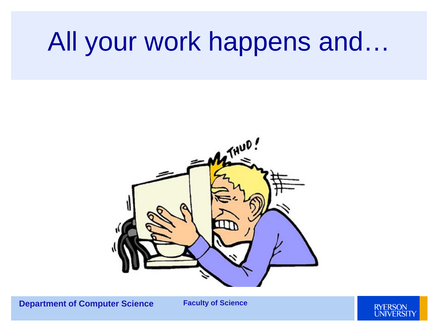#### All your work happens and…



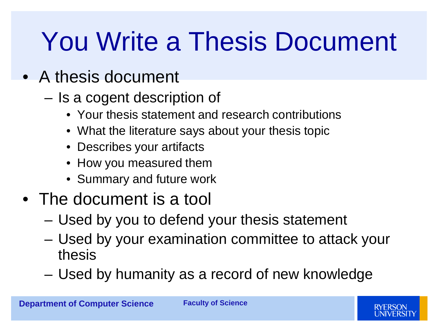## You Write a Thesis Document

#### • A thesis document

- Is a cogent description of
	- Your thesis statement and research contributions
	- What the literature says about your thesis topic
	- Describes your artifacts
	- How you measured them
	- Summary and future work

#### • The document is a tool

- Used by you to defend your thesis statement
- Used by your examination committee to attack your thesis
- Used by humanity as a record of new knowledge

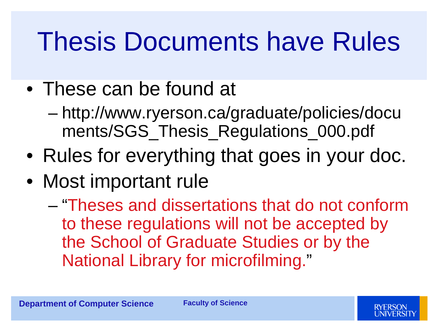## Thesis Documents have Rules

- These can be found at
	- http://www.ryerson.ca/graduate/policies/docu ments/SGS\_Thesis\_Regulations\_000.pdf
- Rules for everything that goes in your doc.
- Most important rule
	- "Theses and dissertations that do not conform to these regulations will not be accepted by the School of Graduate Studies or by the National Library for microfilming."

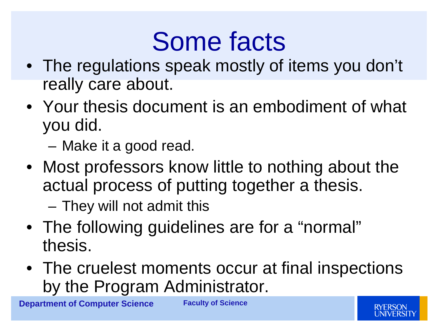#### Some facts

- The regulations speak mostly of items you don't really care about.
- Your thesis document is an embodiment of what you did.

– Make it a good read.

- Most professors know little to nothing about the actual process of putting together a thesis.
	- They will not admit this
- The following guidelines are for a "normal" thesis.
- The cruelest moments occur at final inspections by the Program Administrator.

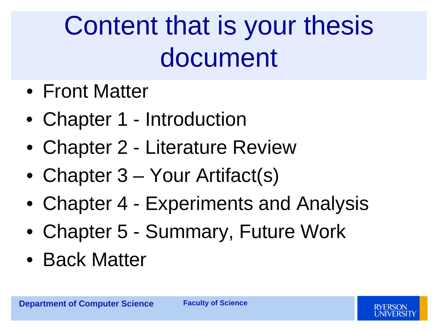## Content that is your thesis document

- Front Matter
- Chapter 1 Introduction
- Chapter 2 Literature Review
- Chapter 3 Your Artifact(s)
- Chapter 4 Experiments and Analysis
- Chapter 5 Summary, Future Work
- Back Matter

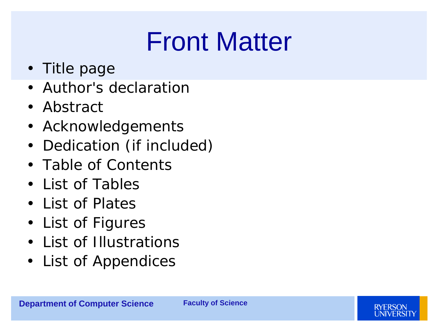#### Front Matter

- Title page
- Author's declaration
- Abstract
- Acknowledgements
- Dedication (if included)
- Table of Contents
- List of Tables
- List of Plates
- List of Figures
- List of Illustrations
- List of Appendices

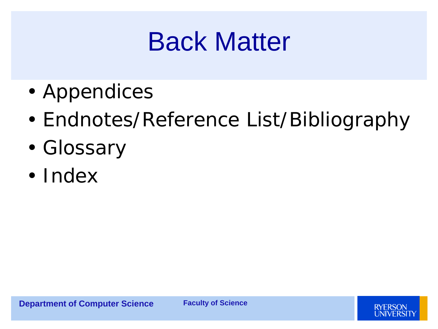#### Back Matter

- Appendices
- Endnotes/Reference List/Bibliography
- Glossary
- Index

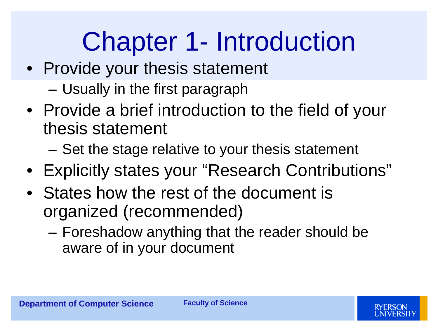## Chapter 1- Introduction

- Provide your thesis statement
	- Usually in the first paragraph
- Provide a brief introduction to the field of your thesis statement
	- Set the stage relative to your thesis statement
- Explicitly states your "Research Contributions"
- States how the rest of the document is organized (recommended)
	- Foreshadow anything that the reader should be aware of in your document



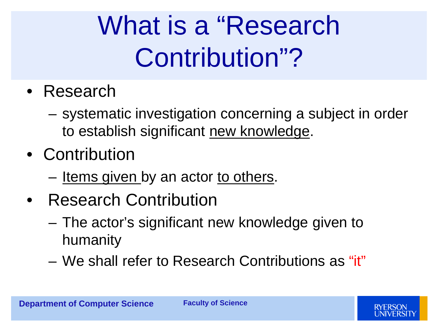## What is a "Research Contribution"?

- Research
	- systematic investigation concerning a subject in order to establish significant new knowledge.
- Contribution
	- Items given by an actor to others.
- Research Contribution
	- The actor's significant new knowledge given to humanity
	- We shall refer to Research Contributions as "it"

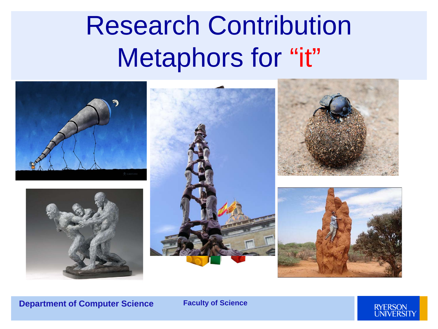#### Research Contribution Metaphors for "it"



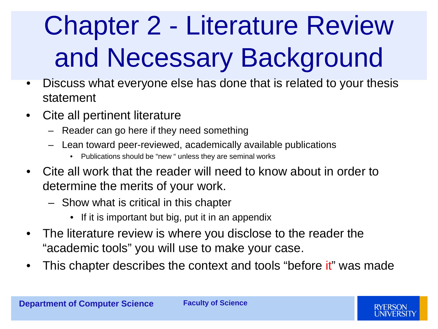# Chapter 2 - Literature Review and Necessary Background

- Discuss what everyone else has done that is related to your thesis statement
- Cite all pertinent literature
	- Reader can go here if they need something
	- Lean toward peer-reviewed, academically available publications
		- Publications should be "new " unless they are seminal works
- Cite all work that the reader will need to know about in order to determine the merits of your work.
	- Show what is critical in this chapter
		- If it is important but big, put it in an appendix
- The literature review is where you disclose to the reader the "academic tools" you will use to make your case.
- This chapter describes the context and tools "before it" was made

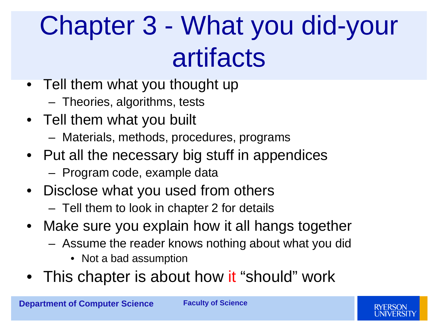## Chapter 3 - What you did-your artifacts

- Tell them what you thought up
	- Theories, algorithms, tests
- Tell them what you built
	- Materials, methods, procedures, programs
- Put all the necessary big stuff in appendices
	- Program code, example data
- Disclose what you used from others
	- Tell them to look in chapter 2 for details
- Make sure you explain how it all hangs together
	- Assume the reader knows nothing about what you did
		- Not a bad assumption
- This chapter is about how it "should" work

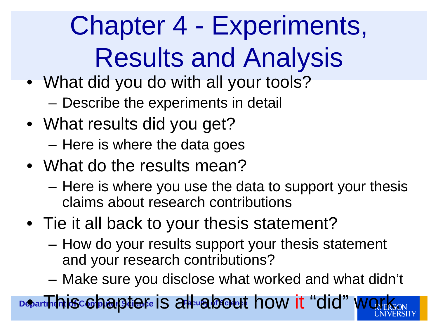Chapter 4 - Experiments, Results and Analysis

- What did you do with all your tools? – Describe the experiments in detail
- What results did you get? – Here is where the data goes
- What do the results mean?
	- Here is where you use the data to support your thesis claims about research contributions
- Tie it all back to your thesis statement?
	- How do your results support your thesis statement and your research contributions?
	- Make sure you disclose what worked and what didn't

**Department is comparate fe is all about how it "did" worked**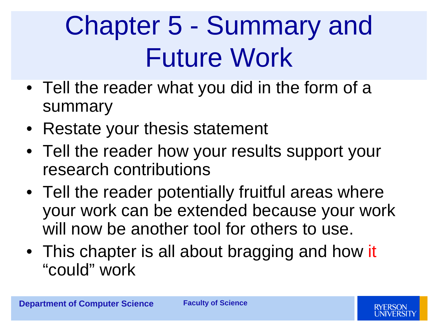## Chapter 5 - Summary and Future Work

- Tell the reader what you did in the form of a summary
- Restate your thesis statement
- Tell the reader how your results support your research contributions
- Tell the reader potentially fruitful areas where your work can be extended because your work will now be another tool for others to use.
- This chapter is all about bragging and how it "could" work

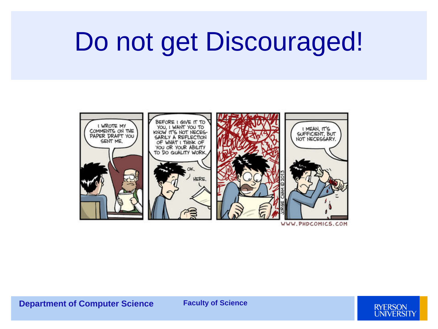#### Do not get Discouraged!